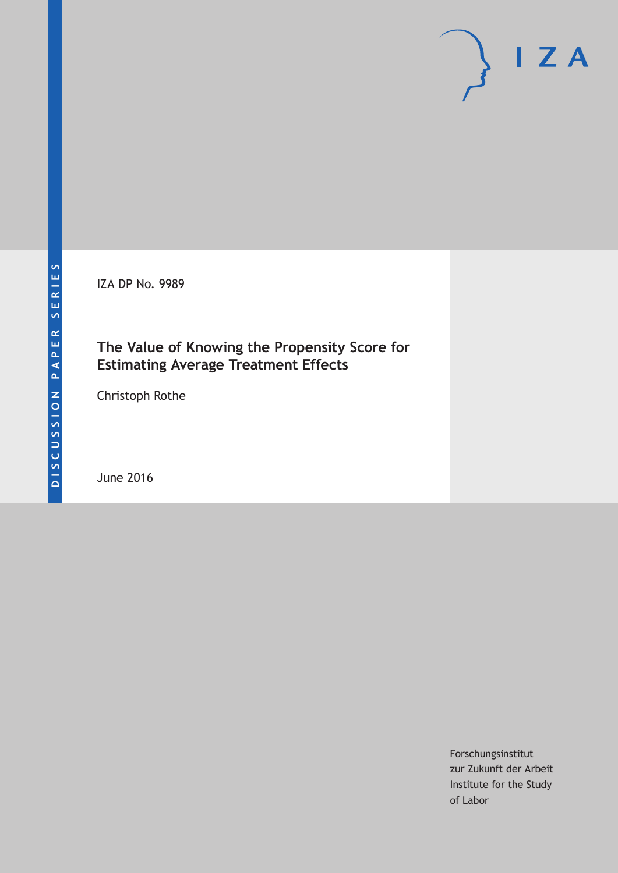IZA DP No. 9989

### **The Value of Knowing the Propensity Score for Estimating Average Treatment Effects**

Christoph Rothe

June 2016

Forschungsinstitut zur Zukunft der Arbeit Institute for the Study of Labor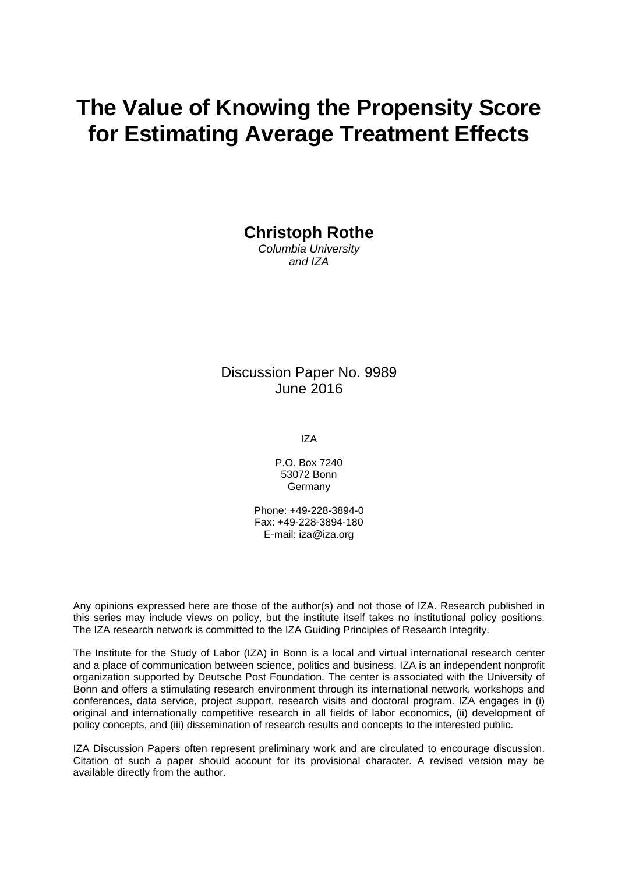# **The Value of Knowing the Propensity Score for Estimating Average Treatment Effects**

**Christoph Rothe** 

*Columbia University and IZA* 

Discussion Paper No. 9989 June 2016

IZA

P.O. Box 7240 53072 Bonn **Germany** 

Phone: +49-228-3894-0 Fax: +49-228-3894-180 E-mail: iza@iza.org

Any opinions expressed here are those of the author(s) and not those of IZA. Research published in this series may include views on policy, but the institute itself takes no institutional policy positions. The IZA research network is committed to the IZA Guiding Principles of Research Integrity.

The Institute for the Study of Labor (IZA) in Bonn is a local and virtual international research center and a place of communication between science, politics and business. IZA is an independent nonprofit organization supported by Deutsche Post Foundation. The center is associated with the University of Bonn and offers a stimulating research environment through its international network, workshops and conferences, data service, project support, research visits and doctoral program. IZA engages in (i) original and internationally competitive research in all fields of labor economics, (ii) development of policy concepts, and (iii) dissemination of research results and concepts to the interested public.

IZA Discussion Papers often represent preliminary work and are circulated to encourage discussion. Citation of such a paper should account for its provisional character. A revised version may be available directly from the author.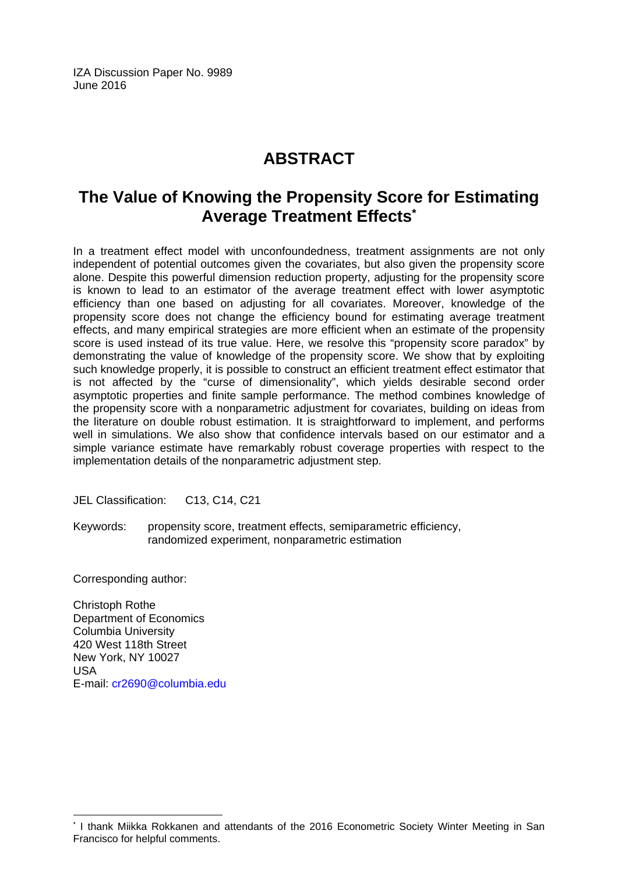IZA Discussion Paper No. 9989 June 2016

# **ABSTRACT**

## **The Value of Knowing the Propensity Score for Estimating Average Treatment Effects\***

In a treatment effect model with unconfoundedness, treatment assignments are not only independent of potential outcomes given the covariates, but also given the propensity score alone. Despite this powerful dimension reduction property, adjusting for the propensity score is known to lead to an estimator of the average treatment effect with lower asymptotic efficiency than one based on adjusting for all covariates. Moreover, knowledge of the propensity score does not change the efficiency bound for estimating average treatment effects, and many empirical strategies are more efficient when an estimate of the propensity score is used instead of its true value. Here, we resolve this "propensity score paradox" by demonstrating the value of knowledge of the propensity score. We show that by exploiting such knowledge properly, it is possible to construct an efficient treatment effect estimator that is not affected by the "curse of dimensionality", which yields desirable second order asymptotic properties and finite sample performance. The method combines knowledge of the propensity score with a nonparametric adjustment for covariates, building on ideas from the literature on double robust estimation. It is straightforward to implement, and performs well in simulations. We also show that confidence intervals based on our estimator and a simple variance estimate have remarkably robust coverage properties with respect to the implementation details of the nonparametric adjustment step.

JEL Classification: C13, C14, C21

Keywords: propensity score, treatment effects, semiparametric efficiency, randomized experiment, nonparametric estimation

Corresponding author:

 $\overline{a}$ 

Christoph Rothe Department of Economics Columbia University 420 West 118th Street New York, NY 10027 USA E-mail: cr2690@columbia.edu

<sup>\*</sup> I thank Miikka Rokkanen and attendants of the 2016 Econometric Society Winter Meeting in San Francisco for helpful comments.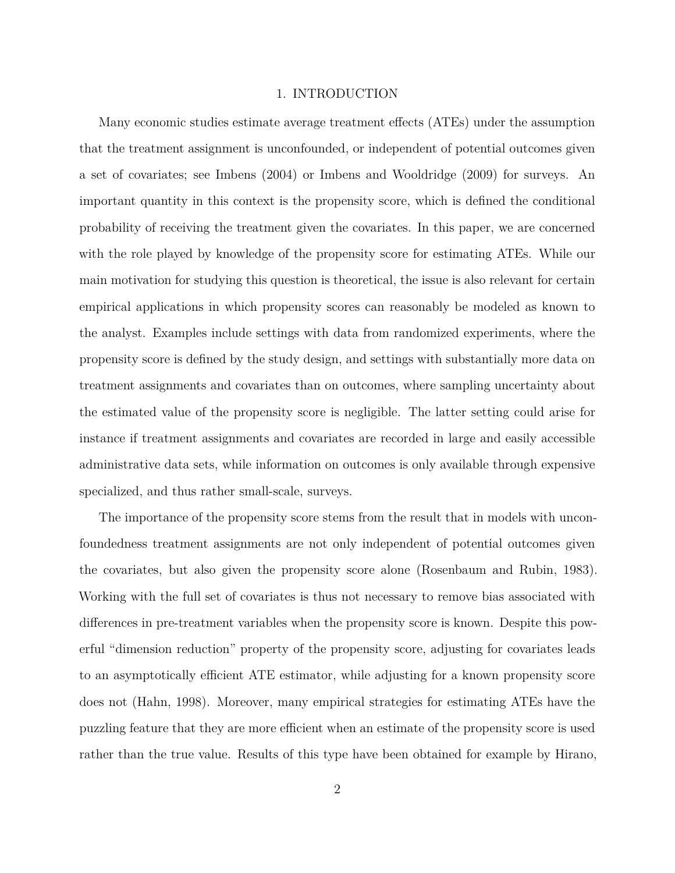#### 1. INTRODUCTION

Many economic studies estimate average treatment effects (ATEs) under the assumption that the treatment assignment is unconfounded, or independent of potential outcomes given a set of covariates; see Imbens (2004) or Imbens and Wooldridge (2009) for surveys. An important quantity in this context is the propensity score, which is defined the conditional probability of receiving the treatment given the covariates. In this paper, we are concerned with the role played by knowledge of the propensity score for estimating ATEs. While our main motivation for studying this question is theoretical, the issue is also relevant for certain empirical applications in which propensity scores can reasonably be modeled as known to the analyst. Examples include settings with data from randomized experiments, where the propensity score is defined by the study design, and settings with substantially more data on treatment assignments and covariates than on outcomes, where sampling uncertainty about the estimated value of the propensity score is negligible. The latter setting could arise for instance if treatment assignments and covariates are recorded in large and easily accessible administrative data sets, while information on outcomes is only available through expensive specialized, and thus rather small-scale, surveys.

The importance of the propensity score stems from the result that in models with unconfoundedness treatment assignments are not only independent of potential outcomes given the covariates, but also given the propensity score alone (Rosenbaum and Rubin, 1983). Working with the full set of covariates is thus not necessary to remove bias associated with differences in pre-treatment variables when the propensity score is known. Despite this powerful "dimension reduction" property of the propensity score, adjusting for covariates leads to an asymptotically efficient ATE estimator, while adjusting for a known propensity score does not (Hahn, 1998). Moreover, many empirical strategies for estimating ATEs have the puzzling feature that they are more efficient when an estimate of the propensity score is used rather than the true value. Results of this type have been obtained for example by Hirano,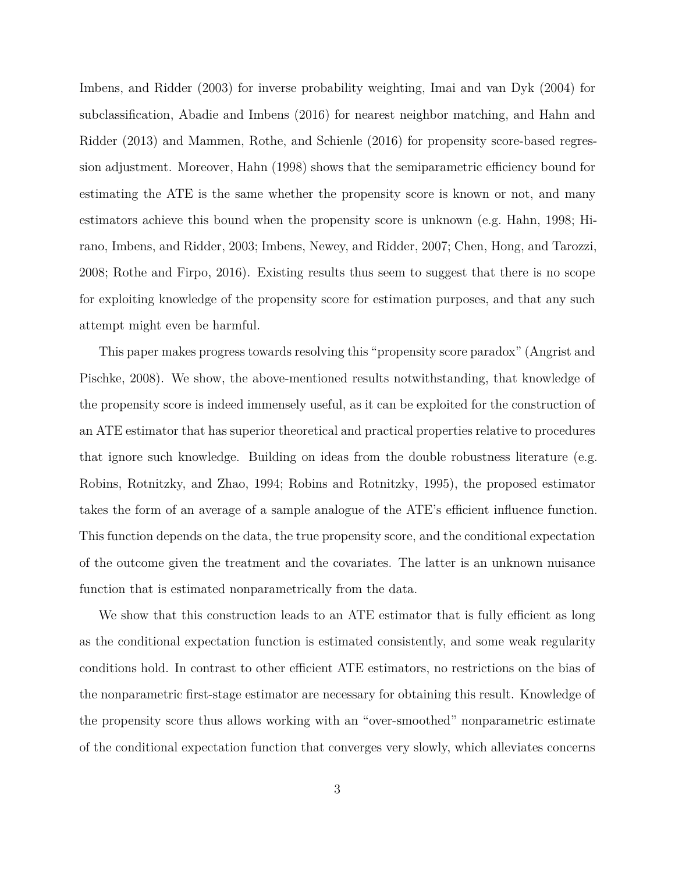Imbens, and Ridder (2003) for inverse probability weighting, Imai and van Dyk (2004) for subclassification, Abadie and Imbens (2016) for nearest neighbor matching, and Hahn and Ridder (2013) and Mammen, Rothe, and Schienle (2016) for propensity score-based regression adjustment. Moreover, Hahn (1998) shows that the semiparametric efficiency bound for estimating the ATE is the same whether the propensity score is known or not, and many estimators achieve this bound when the propensity score is unknown (e.g. Hahn, 1998; Hirano, Imbens, and Ridder, 2003; Imbens, Newey, and Ridder, 2007; Chen, Hong, and Tarozzi, 2008; Rothe and Firpo, 2016). Existing results thus seem to suggest that there is no scope for exploiting knowledge of the propensity score for estimation purposes, and that any such attempt might even be harmful.

This paper makes progress towards resolving this "propensity score paradox" (Angrist and Pischke, 2008). We show, the above-mentioned results notwithstanding, that knowledge of the propensity score is indeed immensely useful, as it can be exploited for the construction of an ATE estimator that has superior theoretical and practical properties relative to procedures that ignore such knowledge. Building on ideas from the double robustness literature (e.g. Robins, Rotnitzky, and Zhao, 1994; Robins and Rotnitzky, 1995), the proposed estimator takes the form of an average of a sample analogue of the ATE's efficient influence function. This function depends on the data, the true propensity score, and the conditional expectation of the outcome given the treatment and the covariates. The latter is an unknown nuisance function that is estimated nonparametrically from the data.

We show that this construction leads to an ATE estimator that is fully efficient as long as the conditional expectation function is estimated consistently, and some weak regularity conditions hold. In contrast to other efficient ATE estimators, no restrictions on the bias of the nonparametric first-stage estimator are necessary for obtaining this result. Knowledge of the propensity score thus allows working with an "over-smoothed" nonparametric estimate of the conditional expectation function that converges very slowly, which alleviates concerns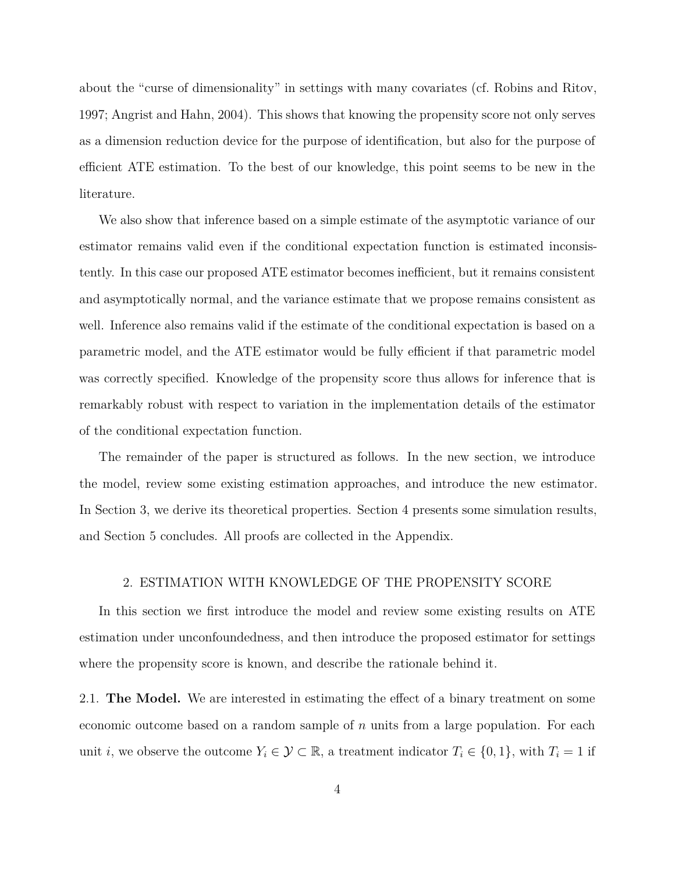about the "curse of dimensionality" in settings with many covariates (cf. Robins and Ritov, 1997; Angrist and Hahn, 2004). This shows that knowing the propensity score not only serves as a dimension reduction device for the purpose of identification, but also for the purpose of efficient ATE estimation. To the best of our knowledge, this point seems to be new in the literature.

We also show that inference based on a simple estimate of the asymptotic variance of our estimator remains valid even if the conditional expectation function is estimated inconsistently. In this case our proposed ATE estimator becomes inefficient, but it remains consistent and asymptotically normal, and the variance estimate that we propose remains consistent as well. Inference also remains valid if the estimate of the conditional expectation is based on a parametric model, and the ATE estimator would be fully efficient if that parametric model was correctly specified. Knowledge of the propensity score thus allows for inference that is remarkably robust with respect to variation in the implementation details of the estimator of the conditional expectation function.

The remainder of the paper is structured as follows. In the new section, we introduce the model, review some existing estimation approaches, and introduce the new estimator. In Section 3, we derive its theoretical properties. Section 4 presents some simulation results, and Section 5 concludes. All proofs are collected in the Appendix.

#### 2. ESTIMATION WITH KNOWLEDGE OF THE PROPENSITY SCORE

In this section we first introduce the model and review some existing results on ATE estimation under unconfoundedness, and then introduce the proposed estimator for settings where the propensity score is known, and describe the rationale behind it.

2.1. **The Model.** We are interested in estimating the effect of a binary treatment on some economic outcome based on a random sample of *n* units from a large population. For each unit *i*, we observe the outcome  $Y_i \in \mathcal{Y} \subset \mathbb{R}$ , a treatment indicator  $T_i \in \{0, 1\}$ , with  $T_i = 1$  if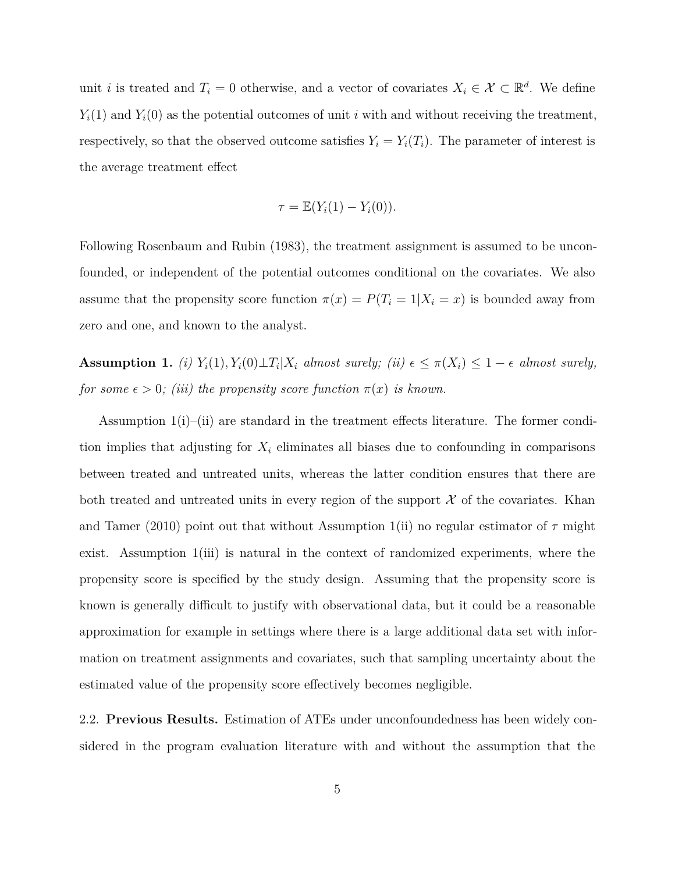unit *i* is treated and  $T_i = 0$  otherwise, and a vector of covariates  $X_i \in \mathcal{X} \subset \mathbb{R}^d$ . We define  $Y_i(1)$  and  $Y_i(0)$  as the potential outcomes of unit *i* with and without receiving the treatment. respectively, so that the observed outcome satisfies  $Y_i = Y_i(T_i)$ . The parameter of interest is the average treatment effect

$$
\tau = \mathbb{E}(Y_i(1) - Y_i(0)).
$$

Following Rosenbaum and Rubin (1983), the treatment assignment is assumed to be unconfounded, or independent of the potential outcomes conditional on the covariates. We also assume that the propensity score function  $\pi(x) = P(T_i = 1 | X_i = x)$  is bounded away from zero and one, and known to the analyst.

**Assumption 1.** *(i)*  $Y_i(1), Y_i(0) \perp T_i | X_i$  *almost surely; (ii)*  $\epsilon \leq \pi(X_i) \leq 1 - \epsilon$  *almost surely, for some*  $\epsilon > 0$ *;* (*iii)* the propensity score function  $\pi(x)$  *is known.* 

Assumption 1(i)–(ii) are standard in the treatment effects literature. The former condition implies that adjusting for  $X_i$  eliminates all biases due to confounding in comparisons between treated and untreated units, whereas the latter condition ensures that there are both treated and untreated units in every region of the support  $\mathcal X$  of the covariates. Khan and Tamer (2010) point out that without Assumption 1(ii) no regular estimator of  $\tau$  might exist. Assumption 1(iii) is natural in the context of randomized experiments, where the propensity score is specified by the study design. Assuming that the propensity score is known is generally difficult to justify with observational data, but it could be a reasonable approximation for example in settings where there is a large additional data set with information on treatment assignments and covariates, such that sampling uncertainty about the estimated value of the propensity score effectively becomes negligible.

2.2. **Previous Results.** Estimation of ATEs under unconfoundedness has been widely considered in the program evaluation literature with and without the assumption that the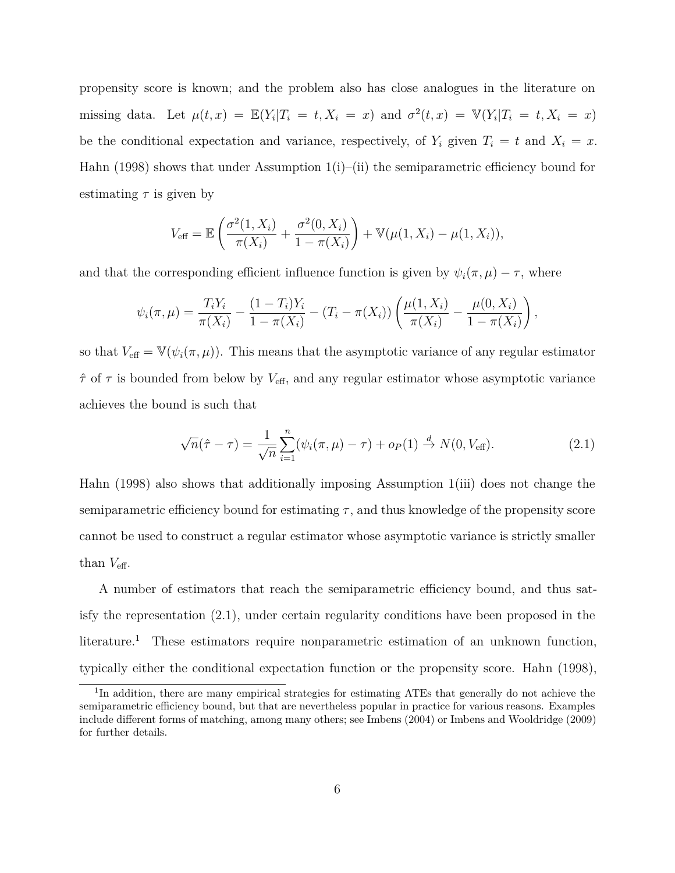propensity score is known; and the problem also has close analogues in the literature on missing data. Let  $\mu(t, x) = \mathbb{E}(Y_i | T_i = t, X_i = x)$  and  $\sigma^2(t, x) = \mathbb{V}(Y_i | T_i = t, X_i = x)$ be the conditional expectation and variance, respectively, of  $Y_i$  given  $T_i = t$  and  $X_i = x$ . Hahn (1998) shows that under Assumption 1(i)–(ii) the semiparametric efficiency bound for estimating  $\tau$  is given by

$$
V_{\text{eff}} = \mathbb{E}\left(\frac{\sigma^2(1, X_i)}{\pi(X_i)} + \frac{\sigma^2(0, X_i)}{1 - \pi(X_i)}\right) + \mathbb{V}(\mu(1, X_i) - \mu(1, X_i)),
$$

and that the corresponding efficient influence function is given by  $\psi_i(\pi,\mu) - \tau$ , where

$$
\psi_i(\pi,\mu) = \frac{T_i Y_i}{\pi(X_i)} - \frac{(1-T_i)Y_i}{1-\pi(X_i)} - (T_i - \pi(X_i)) \left( \frac{\mu(1,X_i)}{\pi(X_i)} - \frac{\mu(0,X_i)}{1-\pi(X_i)} \right),
$$

so that  $V_{\text{eff}} = \mathbb{V}(\psi_i(\pi,\mu))$ . This means that the asymptotic variance of any regular estimator  $\hat{\tau}$  of  $\tau$  is bounded from below by  $V_{\text{eff}}$ , and any regular estimator whose asymptotic variance achieves the bound is such that

$$
\sqrt{n}(\hat{\tau} - \tau) = \frac{1}{\sqrt{n}} \sum_{i=1}^{n} (\psi_i(\pi, \mu) - \tau) + o_P(1) \stackrel{d}{\to} N(0, V_{\text{eff}}).
$$
 (2.1)

Hahn (1998) also shows that additionally imposing Assumption 1(iii) does not change the semiparametric efficiency bound for estimating  $\tau$ , and thus knowledge of the propensity score cannot be used to construct a regular estimator whose asymptotic variance is strictly smaller than  $V_{\text{eff}}$ .

A number of estimators that reach the semiparametric efficiency bound, and thus satisfy the representation (2.1), under certain regularity conditions have been proposed in the literature.<sup>1</sup> These estimators require nonparametric estimation of an unknown function, typically either the conditional expectation function or the propensity score. Hahn (1998),

<sup>&</sup>lt;sup>1</sup>In addition, there are many empirical strategies for estimating ATEs that generally do not achieve the semiparametric efficiency bound, but that are nevertheless popular in practice for various reasons. Examples include different forms of matching, among many others; see Imbens (2004) or Imbens and Wooldridge (2009) for further details.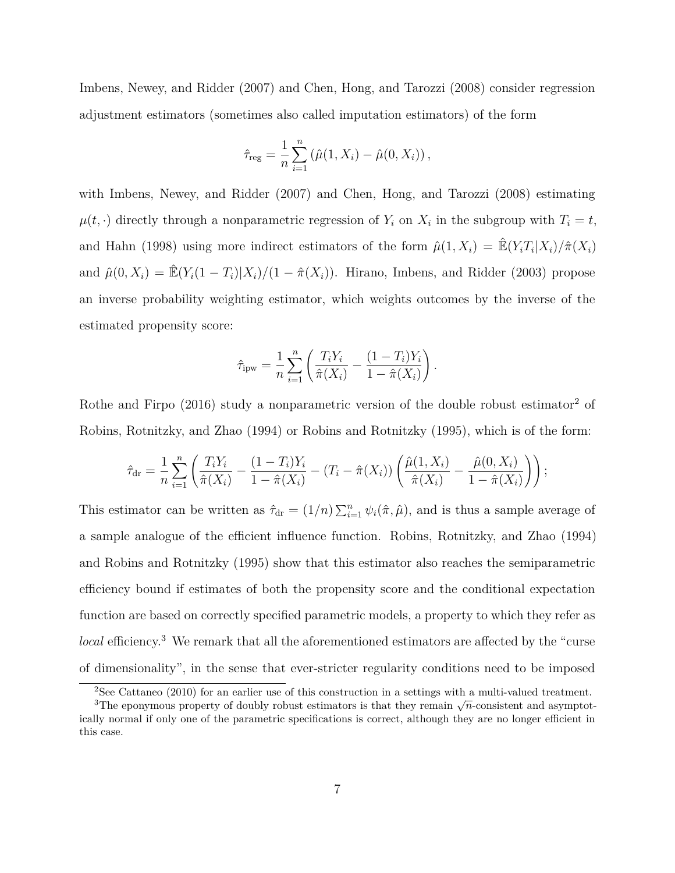Imbens, Newey, and Ridder (2007) and Chen, Hong, and Tarozzi (2008) consider regression adjustment estimators (sometimes also called imputation estimators) of the form

$$
\hat{\tau}_{reg} = \frac{1}{n} \sum_{i=1}^{n} (\hat{\mu}(1, X_i) - \hat{\mu}(0, X_i)),
$$

with Imbens, Newey, and Ridder (2007) and Chen, Hong, and Tarozzi (2008) estimating  $\mu(t, \cdot)$  directly through a nonparametric regression of  $Y_i$  on  $X_i$  in the subgroup with  $T_i = t$ , and Hahn (1998) using more indirect estimators of the form  $\hat{\mu}(1, X_i) = \hat{\mathbb{E}}(Y_i T_i | X_i) / \hat{\pi}(X_i)$ and  $\hat{\mu}(0, X_i) = \mathbb{E}(Y_i(1 - T_i)|X_i)/(1 - \hat{\pi}(X_i))$ . Hirano, Imbens, and Ridder (2003) propose an inverse probability weighting estimator, which weights outcomes by the inverse of the estimated propensity score:

$$
\hat{\tau}_{\text{ipw}} = \frac{1}{n} \sum_{i=1}^{n} \left( \frac{T_i Y_i}{\hat{\pi}(X_i)} - \frac{(1 - T_i) Y_i}{1 - \hat{\pi}(X_i)} \right).
$$

Rothe and Firpo  $(2016)$  study a nonparametric version of the double robust estimator<sup>2</sup> of Robins, Rotnitzky, and Zhao (1994) or Robins and Rotnitzky (1995), which is of the form:

$$
\hat{\tau}_{\rm dr} = \frac{1}{n} \sum_{i=1}^{n} \left( \frac{T_i Y_i}{\hat{\pi}(X_i)} - \frac{(1 - T_i) Y_i}{1 - \hat{\pi}(X_i)} - (T_i - \hat{\pi}(X_i)) \left( \frac{\hat{\mu}(1, X_i)}{\hat{\pi}(X_i)} - \frac{\hat{\mu}(0, X_i)}{1 - \hat{\pi}(X_i)} \right) \right);
$$

This estimator can be written as  $\hat{\tau}_{dr} = (1/n) \sum_{i=1}^n \psi_i(\hat{\pi}, \hat{\mu})$ , and is thus a sample average of a sample analogue of the efficient influence function. Robins, Rotnitzky, and Zhao (1994) and Robins and Rotnitzky (1995) show that this estimator also reaches the semiparametric efficiency bound if estimates of both the propensity score and the conditional expectation function are based on correctly specified parametric models, a property to which they refer as *local* efficiency.<sup>3</sup> We remark that all the aforementioned estimators are affected by the "curse" of dimensionality", in the sense that ever-stricter regularity conditions need to be imposed

 $2$ See Cattaneo (2010) for an earlier use of this construction in a settings with a multi-valued treatment.

<sup>&</sup>lt;sup>3</sup>The eponymous property of doubly robust estimators is that they remain  $\sqrt{n}$ -consistent and asymptotically normal if only one of the parametric specifications is correct, although they are no longer efficient in this case.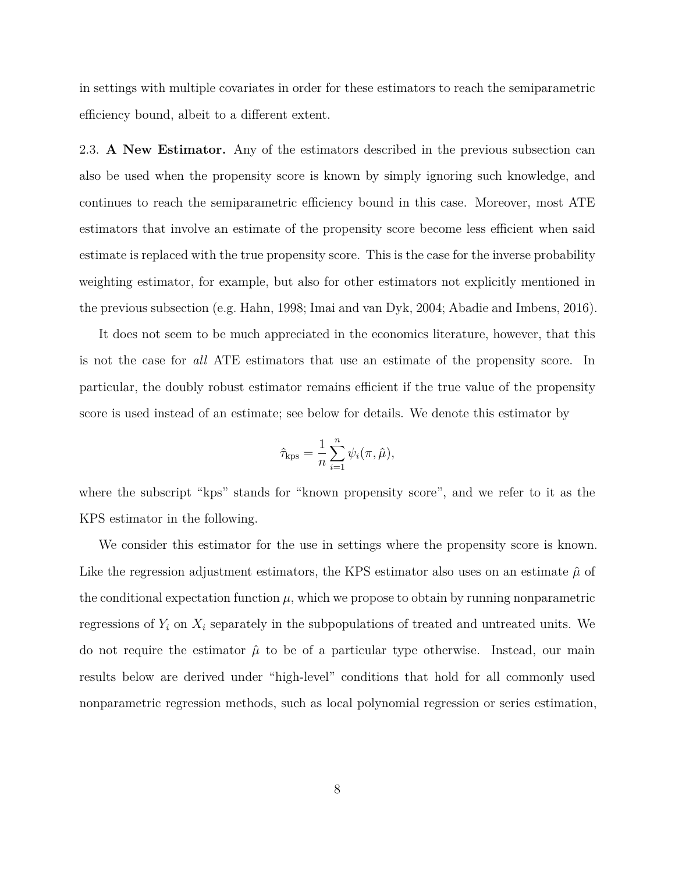in settings with multiple covariates in order for these estimators to reach the semiparametric efficiency bound, albeit to a different extent.

2.3. **A New Estimator.** Any of the estimators described in the previous subsection can also be used when the propensity score is known by simply ignoring such knowledge, and continues to reach the semiparametric efficiency bound in this case. Moreover, most ATE estimators that involve an estimate of the propensity score become less efficient when said estimate is replaced with the true propensity score. This is the case for the inverse probability weighting estimator, for example, but also for other estimators not explicitly mentioned in the previous subsection (e.g. Hahn, 1998; Imai and van Dyk, 2004; Abadie and Imbens, 2016).

It does not seem to be much appreciated in the economics literature, however, that this is not the case for *all* ATE estimators that use an estimate of the propensity score. In particular, the doubly robust estimator remains efficient if the true value of the propensity score is used instead of an estimate; see below for details. We denote this estimator by

$$
\hat{\tau}_{\rm kps} = \frac{1}{n} \sum_{i=1}^{n} \psi_i(\pi, \hat{\mu}),
$$

where the subscript "kps" stands for "known propensity score", and we refer to it as the KPS estimator in the following.

We consider this estimator for the use in settings where the propensity score is known. Like the regression adjustment estimators, the KPS estimator also uses on an estimate  $\hat{\mu}$  of the conditional expectation function  $\mu$ , which we propose to obtain by running nonparametric regressions of  $Y_i$  on  $X_i$  separately in the subpopulations of treated and untreated units. We do not require the estimator  $\hat{\mu}$  to be of a particular type otherwise. Instead, our main results below are derived under "high-level" conditions that hold for all commonly used nonparametric regression methods, such as local polynomial regression or series estimation,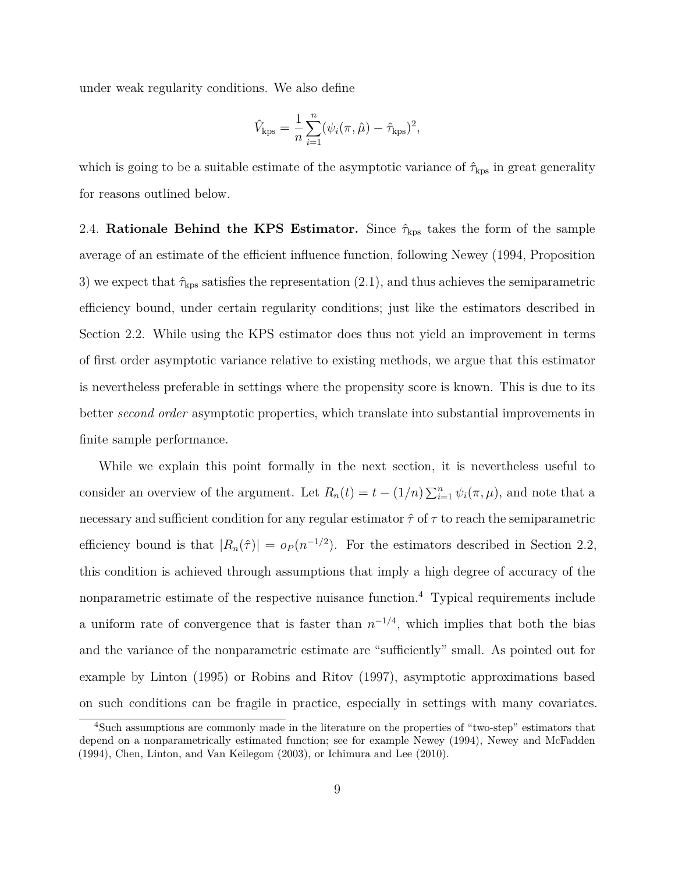under weak regularity conditions. We also define

$$
\hat{V}_{\text{kps}} = \frac{1}{n} \sum_{i=1}^{n} (\psi_i(\pi, \hat{\mu}) - \hat{\tau}_{\text{kps}})^2,
$$

which is going to be a suitable estimate of the asymptotic variance of  $\hat{\tau}_{\text{kps}}$  in great generality for reasons outlined below.

2.4. **Rationale Behind the KPS Estimator.** Since  $\hat{\tau}_{\text{kps}}$  takes the form of the sample average of an estimate of the efficient influence function, following Newey (1994, Proposition 3) we expect that  $\hat{\tau}_{\text{kps}}$  satisfies the representation (2.1), and thus achieves the semiparametric efficiency bound, under certain regularity conditions; just like the estimators described in Section 2.2. While using the KPS estimator does thus not yield an improvement in terms of first order asymptotic variance relative to existing methods, we argue that this estimator is nevertheless preferable in settings where the propensity score is known. This is due to its better *second order* asymptotic properties, which translate into substantial improvements in finite sample performance.

While we explain this point formally in the next section, it is nevertheless useful to consider an overview of the argument. Let  $R_n(t) = t - (1/n) \sum_{i=1}^n \psi_i(\pi, \mu)$ , and note that a necessary and sufficient condition for any regular estimator  $\hat{\tau}$  of  $\tau$  to reach the semiparametric efficiency bound is that  $|R_n(\hat{\tau})| = o_P(n^{-1/2})$ . For the estimators described in Section 2.2, this condition is achieved through assumptions that imply a high degree of accuracy of the nonparametric estimate of the respective nuisance function.<sup>4</sup> Typical requirements include a uniform rate of convergence that is faster than  $n^{-1/4}$ , which implies that both the bias and the variance of the nonparametric estimate are "sufficiently" small. As pointed out for example by Linton (1995) or Robins and Ritov (1997), asymptotic approximations based on such conditions can be fragile in practice, especially in settings with many covariates.

<sup>4</sup>Such assumptions are commonly made in the literature on the properties of "two-step" estimators that depend on a nonparametrically estimated function; see for example Newey (1994), Newey and McFadden (1994), Chen, Linton, and Van Keilegom (2003), or Ichimura and Lee (2010).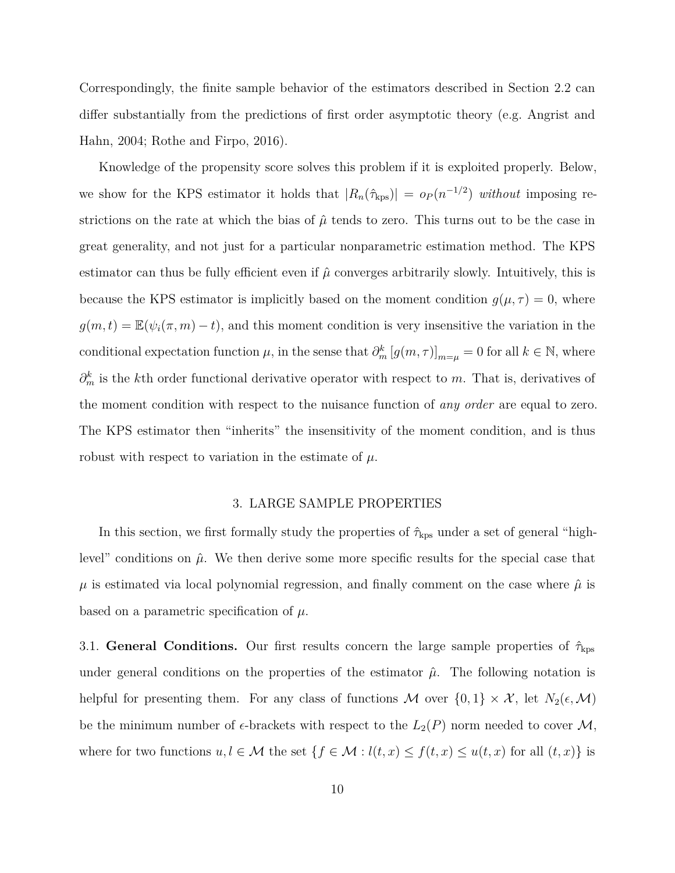Correspondingly, the finite sample behavior of the estimators described in Section 2.2 can differ substantially from the predictions of first order asymptotic theory (e.g. Angrist and Hahn, 2004; Rothe and Firpo, 2016).

Knowledge of the propensity score solves this problem if it is exploited properly. Below, we show for the KPS estimator it holds that  $|R_n(\hat{\tau}_{\text{kps}})| = o_P(n^{-1/2})$  *without* imposing restrictions on the rate at which the bias of  $\hat{\mu}$  tends to zero. This turns out to be the case in great generality, and not just for a particular nonparametric estimation method. The KPS estimator can thus be fully efficient even if  $\hat{\mu}$  converges arbitrarily slowly. Intuitively, this is because the KPS estimator is implicitly based on the moment condition  $g(\mu, \tau) = 0$ , where  $g(m, t) = \mathbb{E}(\psi_i(\pi, m) - t)$ , and this moment condition is very insensitive the variation in the conditional expectation function  $\mu$ , in the sense that  $\partial_m^k [g(m, \tau)]_{m=\mu} = 0$  for all  $k \in \mathbb{N}$ , where *∂*<sup>*k*</sup><sub>*m*</sub> is the *k*th order functional derivative operator with respect to *m*. That is, derivatives of the moment condition with respect to the nuisance function of *any order* are equal to zero. The KPS estimator then "inherits" the insensitivity of the moment condition, and is thus robust with respect to variation in the estimate of  $\mu$ .

#### 3. LARGE SAMPLE PROPERTIES

In this section, we first formally study the properties of  $\hat{\tau}_{\rm kps}$  under a set of general "highlevel" conditions on  $\hat{\mu}$ . We then derive some more specific results for the special case that  $\mu$  is estimated via local polynomial regression, and finally comment on the case where  $\hat{\mu}$  is based on a parametric specification of  $\mu$ .

3.1. **General Conditions.** Our first results concern the large sample properties of ˆ*τ*kps under general conditions on the properties of the estimator  $\hat{\mu}$ . The following notation is helpful for presenting them. For any class of functions M over  $\{0,1\} \times \mathcal{X}$ , let  $N_2(\epsilon,\mathcal{M})$ be the minimum number of  $\epsilon$ -brackets with respect to the  $L_2(P)$  norm needed to cover M, where for two functions  $u, l \in \mathcal{M}$  the set  $\{f \in \mathcal{M} : l(t,x) \leq f(t,x) \leq u(t,x) \}$  for all  $(t,x)$  is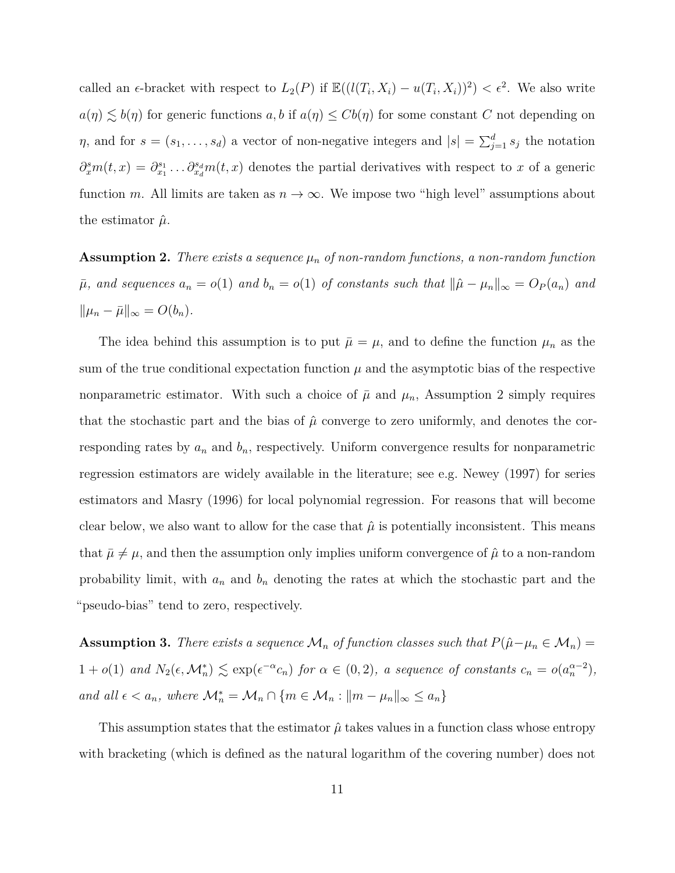called an  $\epsilon$ -bracket with respect to  $L_2(P)$  if  $\mathbb{E}((l(T_i, X_i) - u(T_i, X_i))^2) < \epsilon^2$ . We also write  $a(\eta) \lesssim b(\eta)$  for generic functions  $a, b$  if  $a(\eta) \leq Cb(\eta)$  for some constant *C* not depending on *η*, and for  $s = (s_1, \ldots, s_d)$  a vector of non-negative integers and  $|s| = \sum_{j=1}^d s_j$  the notation  $\partial_x^s m(t,x) = \partial_{x_1}^{s_1} \dots \partial_{x_d}^{s_d} m(t,x)$  denotes the partial derivatives with respect to *x* of a generic function *m*. All limits are taken as  $n \to \infty$ . We impose two "high level" assumptions about the estimator  $\hat{\mu}$ .

**Assumption 2.** *There exists a sequence*  $\mu_n$  *of non-random functions, a non-random function*  $\bar{\mu}$ , and sequences  $a_n = o(1)$  and  $b_n = o(1)$  of constants such that  $\|\hat{\mu} - \mu_n\|_{\infty} = O_P(a_n)$  and  $\|\mu_n - \bar{\mu}\|_{\infty} = O(b_n).$ 

The idea behind this assumption is to put  $\bar{\mu} = \mu$ , and to define the function  $\mu_n$  as the sum of the true conditional expectation function  $\mu$  and the asymptotic bias of the respective nonparametric estimator. With such a choice of  $\bar{\mu}$  and  $\mu_n$ , Assumption 2 simply requires that the stochastic part and the bias of  $\hat{\mu}$  converge to zero uniformly, and denotes the corresponding rates by  $a_n$  and  $b_n$ , respectively. Uniform convergence results for nonparametric regression estimators are widely available in the literature; see e.g. Newey (1997) for series estimators and Masry (1996) for local polynomial regression. For reasons that will become clear below, we also want to allow for the case that  $\hat{\mu}$  is potentially inconsistent. This means that  $\bar{\mu} \neq \mu$ , and then the assumption only implies uniform convergence of  $\hat{\mu}$  to a non-random probability limit, with  $a_n$  and  $b_n$  denoting the rates at which the stochastic part and the "pseudo-bias" tend to zero, respectively.

**Assumption 3.** *There exists a sequence*  $\mathcal{M}_n$  *of function classes such that*  $P(\hat{\mu} - \mu_n \in \mathcal{M}_n) =$  $1 + o(1)$  and  $N_2(\epsilon, \mathcal{M}_n^*) \le \exp(\epsilon^{-\alpha} c_n)$  for  $\alpha \in (0, 2)$ , a sequence of constants  $c_n = o(a_n^{\alpha-2})$ , *and all*  $\epsilon < a_n$ , where  $\mathcal{M}_n^* = \mathcal{M}_n \cap \{m \in \mathcal{M}_n : ||m - \mu_n||_{\infty} \le a_n\}$ 

This assumption states that the estimator  $\hat{\mu}$  takes values in a function class whose entropy with bracketing (which is defined as the natural logarithm of the covering number) does not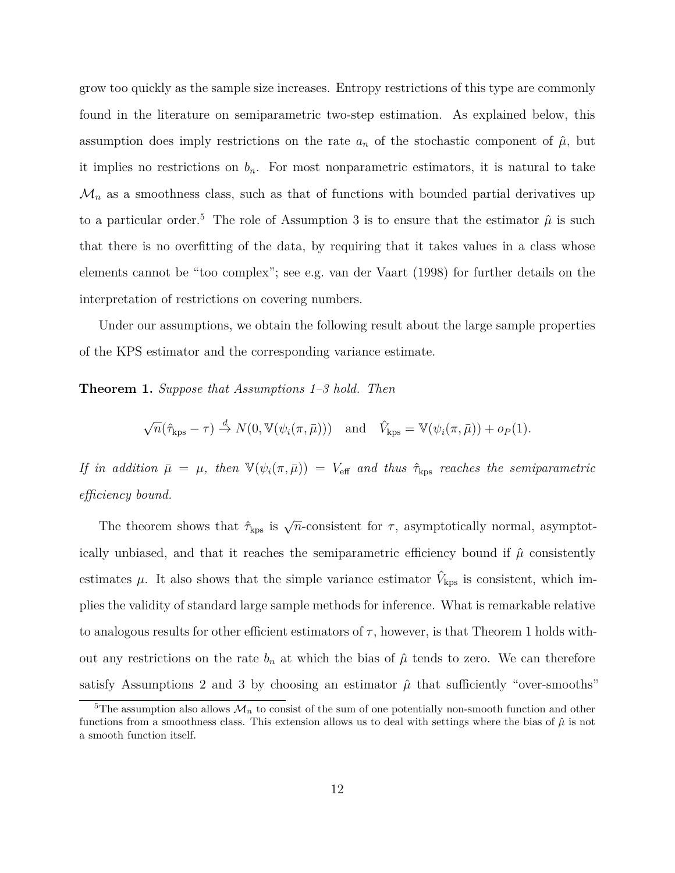grow too quickly as the sample size increases. Entropy restrictions of this type are commonly found in the literature on semiparametric two-step estimation. As explained below, this assumption does imply restrictions on the rate  $a_n$  of the stochastic component of  $\hat{\mu}$ , but it implies no restrictions on  $b_n$ . For most nonparametric estimators, it is natural to take  $\mathcal{M}_n$  as a smoothness class, such as that of functions with bounded partial derivatives up to a particular order.<sup>5</sup> The role of Assumption 3 is to ensure that the estimator  $\hat{\mu}$  is such that there is no overfitting of the data, by requiring that it takes values in a class whose elements cannot be "too complex"; see e.g. van der Vaart (1998) for further details on the interpretation of restrictions on covering numbers.

Under our assumptions, we obtain the following result about the large sample properties of the KPS estimator and the corresponding variance estimate.

**Theorem 1.** *Suppose that Assumptions 1–3 hold. Then*

$$
\sqrt{n}(\hat{\tau}_{\rm kps} - \tau) \stackrel{d}{\to} N(0, \mathbb{V}(\psi_i(\pi, \bar{\mu}))) \quad \text{and} \quad \hat{V}_{\rm kps} = \mathbb{V}(\psi_i(\pi, \bar{\mu})) + o_P(1).
$$

*If in addition*  $\bar{\mu} = \mu$ *, then*  $\mathbb{V}(\psi_i(\pi, \bar{\mu})) = V_{\text{eff}}$  *and thus*  $\hat{\tau}_{\text{kps}}$  *reaches the semiparametric efficiency bound.*

The theorem shows that  $\hat{\tau}_{\rm kps}$  is  $\sqrt{n}$ -consistent for  $\tau$ , asymptotically normal, asymptotically unbiased, and that it reaches the semiparametric efficiency bound if  $\hat{\mu}$  consistently estimates  $\mu$ . It also shows that the simple variance estimator  $\hat{V}_{\text{kps}}$  is consistent, which implies the validity of standard large sample methods for inference. What is remarkable relative to analogous results for other efficient estimators of  $\tau$ , however, is that Theorem 1 holds without any restrictions on the rate  $b_n$  at which the bias of  $\hat{\mu}$  tends to zero. We can therefore satisfy Assumptions 2 and 3 by choosing an estimator  $\hat{\mu}$  that sufficiently "over-smooths"

<sup>&</sup>lt;sup>5</sup>The assumption also allows  $\mathcal{M}_n$  to consist of the sum of one potentially non-smooth function and other functions from a smoothness class. This extension allows us to deal with settings where the bias of  $\hat{\mu}$  is not a smooth function itself.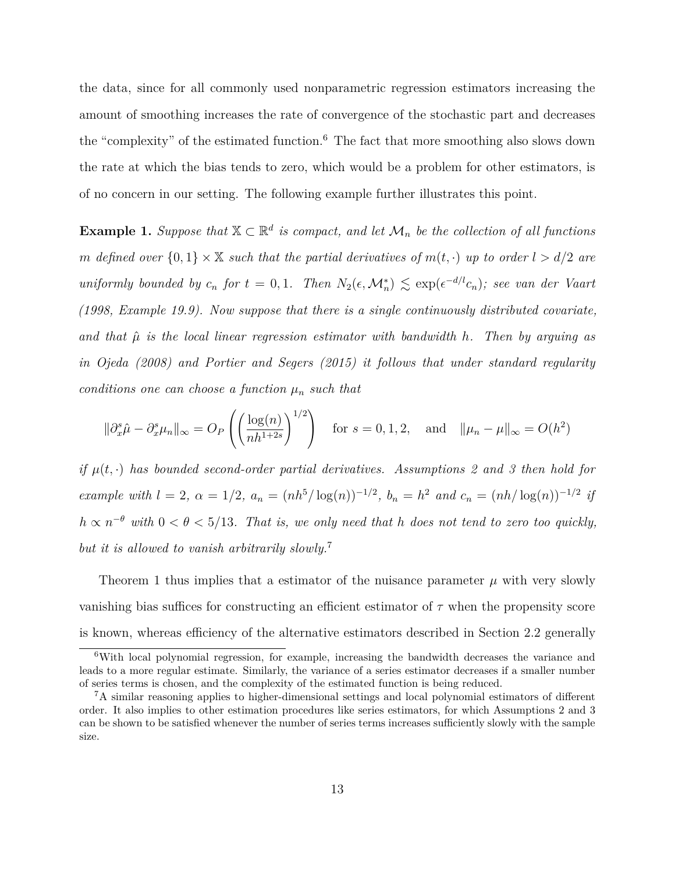the data, since for all commonly used nonparametric regression estimators increasing the amount of smoothing increases the rate of convergence of the stochastic part and decreases the "complexity" of the estimated function.<sup>6</sup> The fact that more smoothing also slows down the rate at which the bias tends to zero, which would be a problem for other estimators, is of no concern in our setting. The following example further illustrates this point.

**Example 1.** *Suppose that*  $X \subset \mathbb{R}^d$  *is compact, and let*  $\mathcal{M}_n$  *be the collection of all functions m defined over*  $\{0,1\} \times \mathbb{X}$  *such that the partial derivatives of*  $m(t, \cdot)$  *up to order*  $l > d/2$  *are uniformly bounded by*  $c_n$  *for*  $t = 0, 1$ *. Then*  $N_2(\epsilon, \mathcal{M}_n^*) \leq \exp(\epsilon^{-d/l} c_n)$ *; see van der Vaart (1998, Example 19.9). Now suppose that there is a single continuously distributed covariate, and that µ*ˆ *is the local linear regression estimator with bandwidth h. Then by arguing as in Ojeda (2008) and Portier and Segers (2015) it follows that under standard regularity conditions one can choose a function*  $\mu_n$  *such that* 

$$
\|\partial_x^s \hat{\mu} - \partial_x^s \mu_n\|_{\infty} = O_P\left(\left(\frac{\log(n)}{nh^{1+2s}}\right)^{1/2}\right) \quad \text{for } s = 0, 1, 2, \quad \text{and} \quad \|\mu_n - \mu\|_{\infty} = O(h^2)
$$

*if*  $\mu(t, \cdot)$  has bounded second-order partial derivatives. Assumptions 2 and 3 then hold for example with  $l = 2$ ,  $\alpha = 1/2$ ,  $a_n = (nh^5/\log(n))^{-1/2}$ ,  $b_n = h^2$  and  $c_n = (nh/\log(n))^{-1/2}$  if  $h \propto n^{-\theta}$  *with*  $0 < \theta < 5/13$ *. That is, we only need that h does not tend to zero too quickly, but it is allowed to vanish arbitrarily slowly.*<sup>7</sup>

Theorem 1 thus implies that a estimator of the nuisance parameter  $\mu$  with very slowly vanishing bias suffices for constructing an efficient estimator of *τ* when the propensity score is known, whereas efficiency of the alternative estimators described in Section 2.2 generally

<sup>6</sup>With local polynomial regression, for example, increasing the bandwidth decreases the variance and leads to a more regular estimate. Similarly, the variance of a series estimator decreases if a smaller number of series terms is chosen, and the complexity of the estimated function is being reduced.

<sup>7</sup>A similar reasoning applies to higher-dimensional settings and local polynomial estimators of different order. It also implies to other estimation procedures like series estimators, for which Assumptions 2 and 3 can be shown to be satisfied whenever the number of series terms increases sufficiently slowly with the sample size.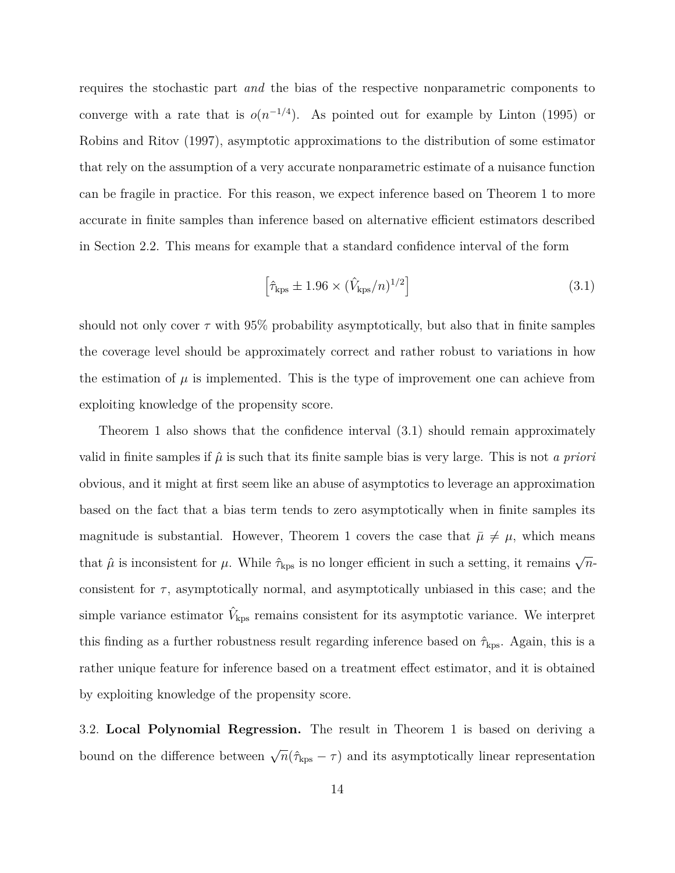requires the stochastic part *and* the bias of the respective nonparametric components to converge with a rate that is  $o(n^{-1/4})$ . As pointed out for example by Linton (1995) or Robins and Ritov (1997), asymptotic approximations to the distribution of some estimator that rely on the assumption of a very accurate nonparametric estimate of a nuisance function can be fragile in practice. For this reason, we expect inference based on Theorem 1 to more accurate in finite samples than inference based on alternative efficient estimators described in Section 2.2. This means for example that a standard confidence interval of the form

$$
\left[\hat{\tau}_{\rm kps} \pm 1.96 \times (\hat{V}_{\rm kps}/n)^{1/2}\right]
$$
\n(3.1)

should not only cover  $\tau$  with 95% probability asymptotically, but also that in finite samples the coverage level should be approximately correct and rather robust to variations in how the estimation of  $\mu$  is implemented. This is the type of improvement one can achieve from exploiting knowledge of the propensity score.

Theorem 1 also shows that the confidence interval (3.1) should remain approximately valid in finite samples if  $\hat{\mu}$  is such that its finite sample bias is very large. This is not *a priori* obvious, and it might at first seem like an abuse of asymptotics to leverage an approximation based on the fact that a bias term tends to zero asymptotically when in finite samples its magnitude is substantial. However, Theorem 1 covers the case that  $\bar{\mu} \neq \mu$ , which means that  $\hat{\mu}$  is inconsistent for  $\mu$ . While  $\hat{\tau}_{\rm kps}$  is no longer efficient in such a setting, it remains  $\sqrt{n}$ consistent for  $\tau$ , asymptotically normal, and asymptotically unbiased in this case; and the simple variance estimator  $\hat{V}_{\text{kps}}$  remains consistent for its asymptotic variance. We interpret this finding as a further robustness result regarding inference based on  $\hat{\tau}_{\mathrm{kps}}$ . Again, this is a rather unique feature for inference based on a treatment effect estimator, and it is obtained by exploiting knowledge of the propensity score.

3.2. **Local Polynomial Regression.** The result in Theorem 1 is based on deriving a bound on the difference between  $\sqrt{n}(\hat{\tau}_{\text{kps}} - \tau)$  and its asymptotically linear representation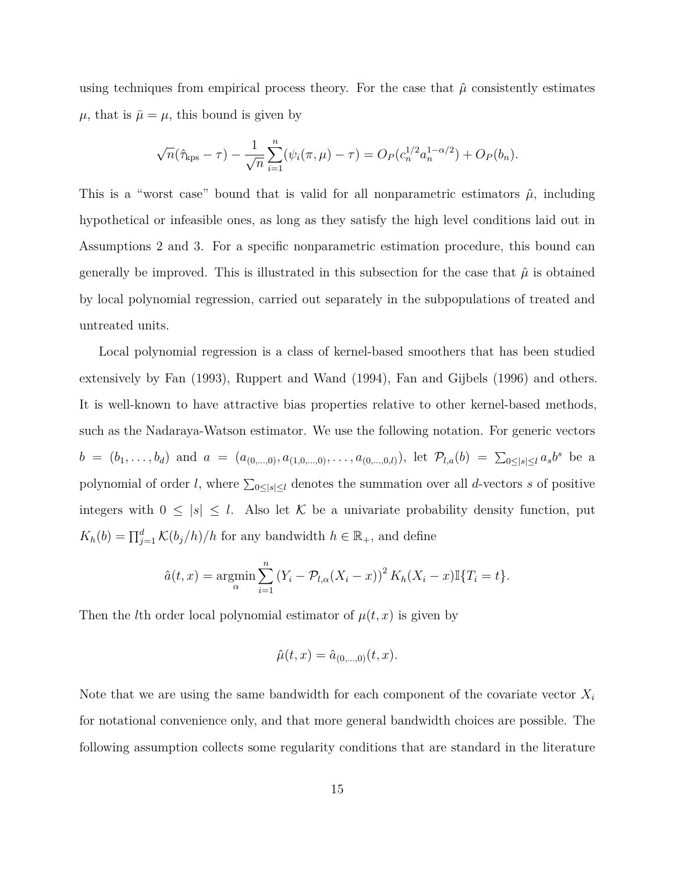using techniques from empirical process theory. For the case that  $\hat{\mu}$  consistently estimates  $\mu$ , that is  $\bar{\mu} = \mu$ , this bound is given by

$$
\sqrt{n}(\hat{\tau}_{\rm kps} - \tau) - \frac{1}{\sqrt{n}} \sum_{i=1}^{n} (\psi_i(\pi, \mu) - \tau) = O_P(c_n^{1/2} a_n^{1-\alpha/2}) + O_P(b_n).
$$

This is a "worst case" bound that is valid for all nonparametric estimators  $\hat{\mu}$ , including hypothetical or infeasible ones, as long as they satisfy the high level conditions laid out in Assumptions 2 and 3. For a specific nonparametric estimation procedure, this bound can generally be improved. This is illustrated in this subsection for the case that  $\hat{\mu}$  is obtained by local polynomial regression, carried out separately in the subpopulations of treated and untreated units.

Local polynomial regression is a class of kernel-based smoothers that has been studied extensively by Fan (1993), Ruppert and Wand (1994), Fan and Gijbels (1996) and others. It is well-known to have attractive bias properties relative to other kernel-based methods, such as the Nadaraya-Watson estimator. We use the following notation. For generic vectors  $b = (b_1, \ldots, b_d)$  and  $a = (a_{(0,\ldots,0)}, a_{(1,0,\ldots,0)}, \ldots, a_{(0,\ldots,0,l)})$ , let  $\mathcal{P}_{l,a}(b) = \sum_{0 \leq |s| \leq l} a_s b^s$  be a polynomial of order *l*, where  $\sum_{0 \leq |s| \leq l}$  denotes the summation over all *d*-vectors *s* of positive integers with  $0 \leq |s| \leq l$ . Also let K be a univariate probability density function, put  $K_h(b) = \prod_{j=1}^d K(b_j/h)/h$  for any bandwidth  $h \in \mathbb{R}_+$ , and define

$$
\hat{a}(t,x) = \underset{\alpha}{\text{argmin}} \sum_{i=1}^{n} (Y_i - \mathcal{P}_{l,\alpha}(X_i - x))^2 K_h(X_i - x) \mathbb{I}\{T_i = t\}.
$$

Then the *l*th order local polynomial estimator of  $\mu(t, x)$  is given by

$$
\hat{\mu}(t,x) = \hat{a}_{(0,...,0)}(t,x).
$$

Note that we are using the same bandwidth for each component of the covariate vector *X<sup>i</sup>* for notational convenience only, and that more general bandwidth choices are possible. The following assumption collects some regularity conditions that are standard in the literature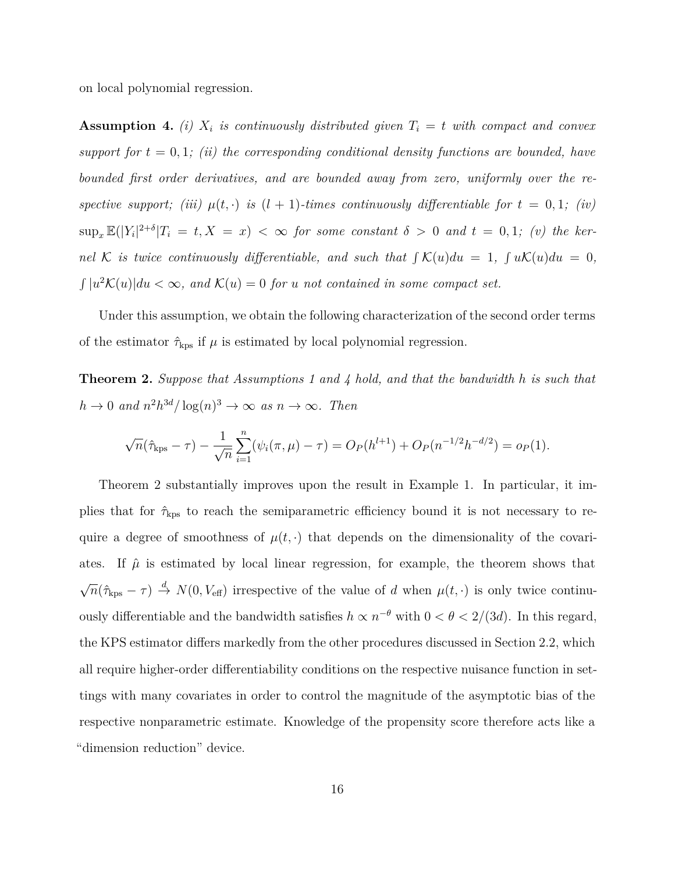on local polynomial regression.

**Assumption 4.** *(i)*  $X_i$  *is continuously distributed given*  $T_i = t$  *with compact and convex support for*  $t = 0, 1$ ; *(ii) the corresponding conditional density functions are bounded, have bounded first order derivatives, and are bounded away from zero, uniformly over the respective support;* (*iii*)  $\mu(t, \cdot)$  *is*  $(l + 1)$ *-times continuously differentiable for*  $t = 0, 1$ ; (*iv*)  $\sup_x \mathbb{E}(|Y_i|^{2+\delta} | T_i = t, X = x) < \infty$  for some constant  $\delta > 0$  and  $t = 0, 1$ ; (v) the ker*nel*  $K$  *is twice continuously differentiable, and such that*  $\int K(u)du = 1$ ,  $\int uK(u)du = 0$ ,  $\int |u^2 \mathcal{K}(u)| du < \infty$ , and  $\mathcal{K}(u) = 0$  for *u* not contained in some compact set.

Under this assumption, we obtain the following characterization of the second order terms of the estimator  $\hat{\tau}_{\text{kps}}$  if  $\mu$  is estimated by local polynomial regression.

**Theorem 2.** *Suppose that Assumptions 1 and 4 hold, and that the bandwidth h is such that*  $h \to 0$  and  $n^2 h^{3d} / \log(n)^3 \to \infty$  as  $n \to \infty$ . Then

$$
\sqrt{n}(\hat{\tau}_{\rm kps} - \tau) - \frac{1}{\sqrt{n}} \sum_{i=1}^{n} (\psi_i(\pi, \mu) - \tau) = O_P(h^{l+1}) + O_P(n^{-1/2}h^{-d/2}) = o_P(1).
$$

Theorem 2 substantially improves upon the result in Example 1. In particular, it implies that for ˆ*τ*kps to reach the semiparametric efficiency bound it is not necessary to require a degree of smoothness of  $\mu(t, \cdot)$  that depends on the dimensionality of the covariates. If  $\hat{\mu}$  is estimated by local linear regression, for example, the theorem shows that  $\sqrt{n}(\hat{\tau}_{\text{kps}} - \tau) \stackrel{d}{\rightarrow} N(0, V_{\text{eff}})$  irrespective of the value of *d* when  $\mu(t, \cdot)$  is only twice continuously differentiable and the bandwidth satisfies  $h \propto n^{-\theta}$  with  $0 < \theta < 2/(3d)$ . In this regard, the KPS estimator differs markedly from the other procedures discussed in Section 2.2, which all require higher-order differentiability conditions on the respective nuisance function in settings with many covariates in order to control the magnitude of the asymptotic bias of the respective nonparametric estimate. Knowledge of the propensity score therefore acts like a "dimension reduction" device.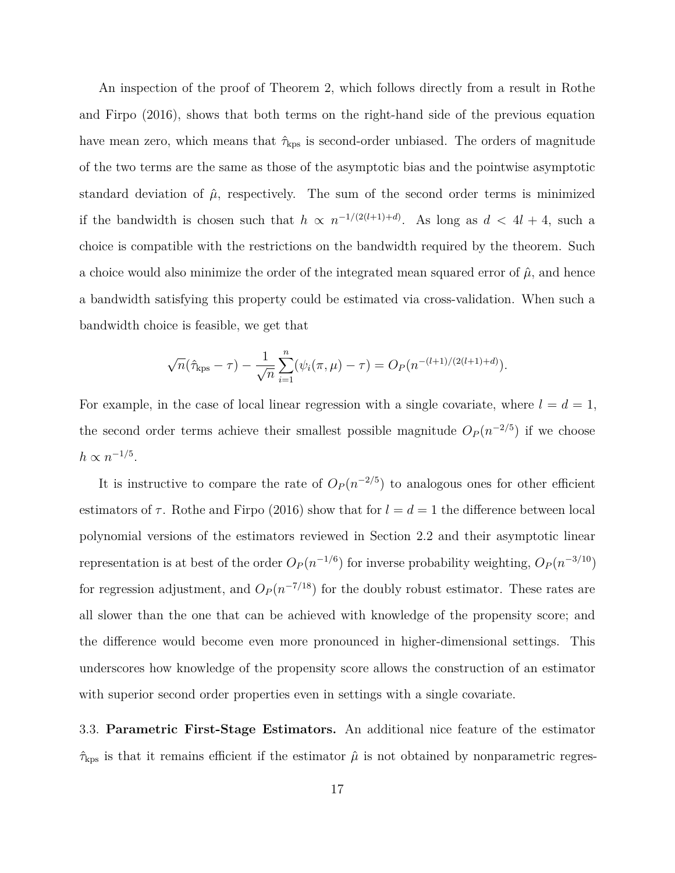An inspection of the proof of Theorem 2, which follows directly from a result in Rothe and Firpo (2016), shows that both terms on the right-hand side of the previous equation have mean zero, which means that  $\hat{\tau}_{\text{kps}}$  is second-order unbiased. The orders of magnitude of the two terms are the same as those of the asymptotic bias and the pointwise asymptotic standard deviation of  $\hat{\mu}$ , respectively. The sum of the second order terms is minimized if the bandwidth is chosen such that  $h \propto n^{-1/(2(l+1)+d)}$ . As long as  $d < 4l + 4$ , such a choice is compatible with the restrictions on the bandwidth required by the theorem. Such a choice would also minimize the order of the integrated mean squared error of  $\hat{\mu}$ , and hence a bandwidth satisfying this property could be estimated via cross-validation. When such a bandwidth choice is feasible, we get that

$$
\sqrt{n}(\hat{\tau}_{\text{kps}} - \tau) - \frac{1}{\sqrt{n}} \sum_{i=1}^{n} (\psi_i(\pi, \mu) - \tau) = O_P(n^{-(l+1)/(2(l+1)+d)}).
$$

For example, in the case of local linear regression with a single covariate, where  $l = d = 1$ , the second order terms achieve their smallest possible magnitude  $O_P(n^{-2/5})$  if we choose  $h \propto n^{-1/5}$ .

It is instructive to compare the rate of  $O_P(n^{-2/5})$  to analogous ones for other efficient estimators of  $\tau$ . Rothe and Firpo (2016) show that for  $l = d = 1$  the difference between local polynomial versions of the estimators reviewed in Section 2.2 and their asymptotic linear representation is at best of the order  $O_P(n^{-1/6})$  for inverse probability weighting,  $O_P(n^{-3/10})$ for regression adjustment, and  $O_P(n^{-7/18})$  for the doubly robust estimator. These rates are all slower than the one that can be achieved with knowledge of the propensity score; and the difference would become even more pronounced in higher-dimensional settings. This underscores how knowledge of the propensity score allows the construction of an estimator with superior second order properties even in settings with a single covariate.

3.3. **Parametric First-Stage Estimators.** An additional nice feature of the estimator  $\hat{\tau}_{\rm kps}$  is that it remains efficient if the estimator  $\hat{\mu}$  is not obtained by nonparametric regres-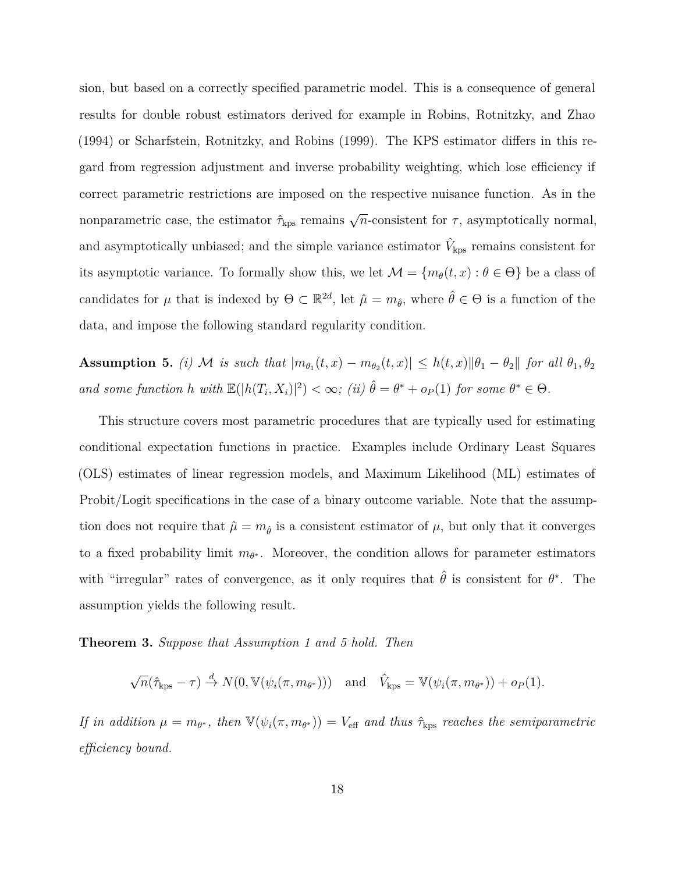sion, but based on a correctly specified parametric model. This is a consequence of general results for double robust estimators derived for example in Robins, Rotnitzky, and Zhao (1994) or Scharfstein, Rotnitzky, and Robins (1999). The KPS estimator differs in this regard from regression adjustment and inverse probability weighting, which lose efficiency if correct parametric restrictions are imposed on the respective nuisance function. As in the nonparametric case, the estimator  $\hat{\tau}_{\text{kps}}$  remains  $\sqrt{n}$ -consistent for  $\tau$ , asymptotically normal, and asymptotically unbiased; and the simple variance estimator  $\hat{V}_{\text{kps}}$  remains consistent for its asymptotic variance. To formally show this, we let  $\mathcal{M} = \{m_\theta(t, x) : \theta \in \Theta\}$  be a class of candidates for  $\mu$  that is indexed by  $\Theta \subset \mathbb{R}^{2d}$ , let  $\hat{\mu} = m_{\hat{\theta}}$ , where  $\hat{\theta} \in \Theta$  is a function of the data, and impose the following standard regularity condition.

**Assumption 5.** *(i)*  $M$  *is such that*  $|m_{\theta_1}(t,x) - m_{\theta_2}(t,x)| \leq h(t,x) ||\theta_1 - \theta_2||$  *for all*  $\theta_1, \theta_2$ *and some function h* with  $\mathbb{E}(|h(T_i, X_i)|^2) < \infty$ ; (ii)  $\hat{\theta} = \theta^* + o_P(1)$  *for some*  $\theta^* \in \Theta$ .

This structure covers most parametric procedures that are typically used for estimating conditional expectation functions in practice. Examples include Ordinary Least Squares (OLS) estimates of linear regression models, and Maximum Likelihood (ML) estimates of Probit/Logit specifications in the case of a binary outcome variable. Note that the assumption does not require that  $\hat{\mu} = m_{\hat{\theta}}$  is a consistent estimator of  $\mu$ , but only that it converges to a fixed probability limit  $m_{\theta^*}$ . Moreover, the condition allows for parameter estimators with "irregular" rates of convergence, as it only requires that  $\hat{\theta}$  is consistent for  $\theta^*$ . The assumption yields the following result.

**Theorem 3.** *Suppose that Assumption 1 and 5 hold. Then*

 $\sqrt{n}(\hat{\tau}_{\text{kps}} - \tau) \stackrel{d}{\rightarrow} N(0, \mathbb{V}(\psi_i(\pi, m_{\theta^*})))$  and  $\hat{V}_{\text{kps}} = \mathbb{V}(\psi_i(\pi, m_{\theta^*})) + o_P(1)$ *.* 

*If in addition*  $\mu = m_{\theta^*}$ , then  $\mathbb{V}(\psi_i(\pi, m_{\theta^*})) = V_{\text{eff}}$  and thus  $\hat{\tau}_{\text{kps}}$  reaches the semiparametric *efficiency bound.*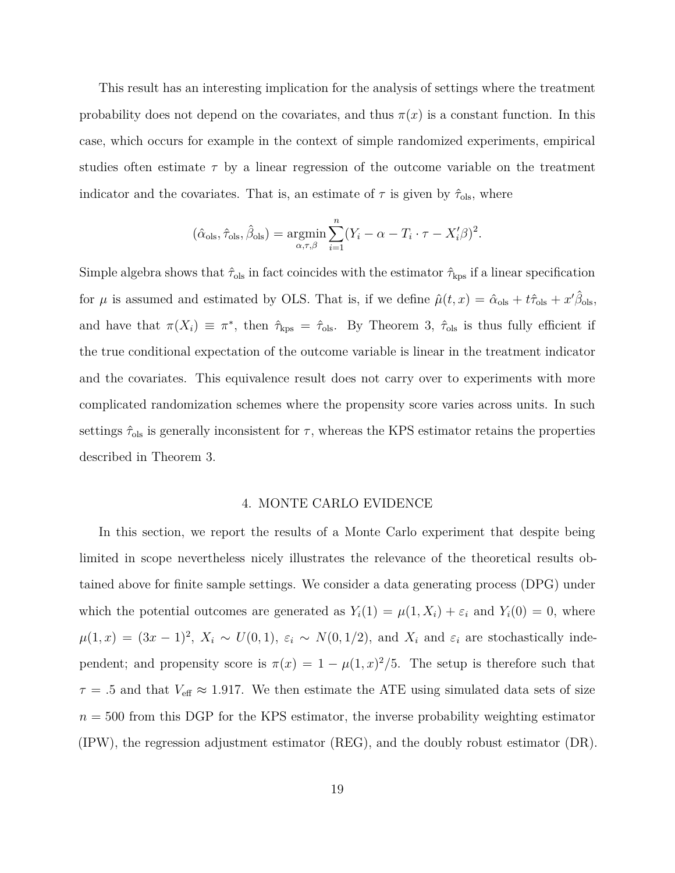This result has an interesting implication for the analysis of settings where the treatment probability does not depend on the covariates, and thus  $\pi(x)$  is a constant function. In this case, which occurs for example in the context of simple randomized experiments, empirical studies often estimate *τ* by a linear regression of the outcome variable on the treatment indicator and the covariates. That is, an estimate of  $\tau$  is given by  $\hat{\tau}_{ols}$ , where

$$
(\hat{\alpha}_{ols}, \hat{\tau}_{ols}, \hat{\beta}_{ols}) = \underset{\alpha, \tau, \beta}{\text{argmin}} \sum_{i=1}^{n} (Y_i - \alpha - T_i \cdot \tau - X_i' \beta)^2.
$$

Simple algebra shows that  $\hat{\tau}_{ols}$  in fact coincides with the estimator  $\hat{\tau}_{kps}$  if a linear specification for  $\mu$  is assumed and estimated by OLS. That is, if we define  $\hat{\mu}(t,x) = \hat{\alpha}_{\text{ols}} + t\hat{\tau}_{\text{ols}} + x'\hat{\beta}_{\text{ols}}$ , and have that  $\pi(X_i) \equiv \pi^*$ , then  $\hat{\tau}_{\text{kps}} = \hat{\tau}_{\text{ols}}$ . By Theorem 3,  $\hat{\tau}_{\text{ols}}$  is thus fully efficient if the true conditional expectation of the outcome variable is linear in the treatment indicator and the covariates. This equivalence result does not carry over to experiments with more complicated randomization schemes where the propensity score varies across units. In such settings  $\hat{\tau}_{ols}$  is generally inconsistent for  $\tau$ , whereas the KPS estimator retains the properties described in Theorem 3.

#### 4. MONTE CARLO EVIDENCE

In this section, we report the results of a Monte Carlo experiment that despite being limited in scope nevertheless nicely illustrates the relevance of the theoretical results obtained above for finite sample settings. We consider a data generating process (DPG) under which the potential outcomes are generated as  $Y_i(1) = \mu(1, X_i) + \varepsilon_i$  and  $Y_i(0) = 0$ , where  $\mu(1,x) = (3x-1)^2$ ,  $X_i \sim U(0,1)$ ,  $\varepsilon_i \sim N(0,1/2)$ , and  $X_i$  and  $\varepsilon_i$  are stochastically independent; and propensity score is  $\pi(x) = 1 - \mu(1, x)^2/5$ . The setup is therefore such that  $\tau = .5$  and that  $V_{\text{eff}} \approx 1.917$ . We then estimate the ATE using simulated data sets of size  $n = 500$  from this DGP for the KPS estimator, the inverse probability weighting estimator (IPW), the regression adjustment estimator (REG), and the doubly robust estimator (DR).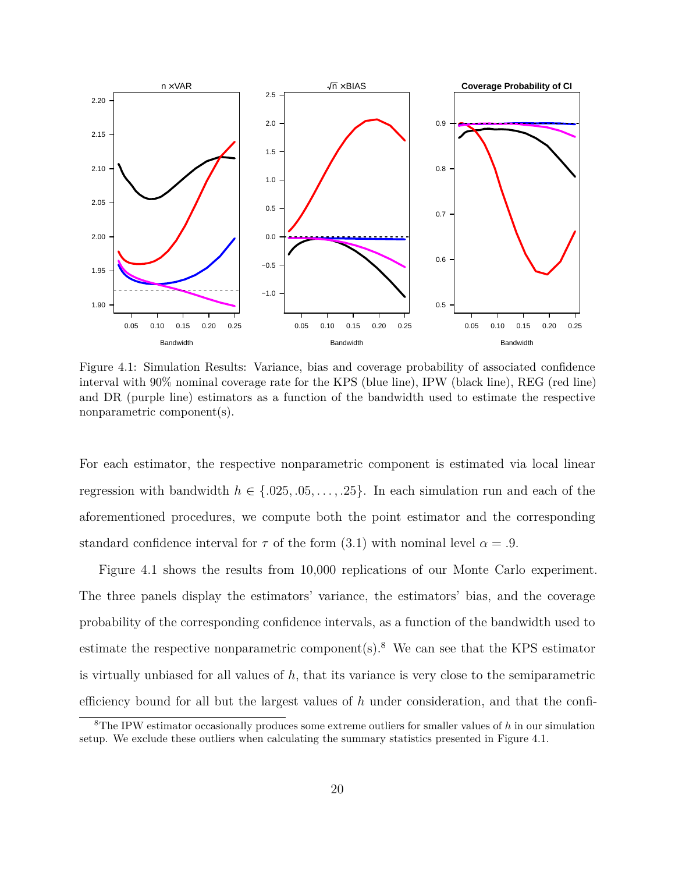

Figure 4.1: Simulation Results: Variance, bias and coverage probability of associated confidence interval with 90% nominal coverage rate for the KPS (blue line), IPW (black line), REG (red line) and DR (purple line) estimators as a function of the bandwidth used to estimate the respective nonparametric component(s).

For each estimator, the respective nonparametric component is estimated via local linear regression with bandwidth  $h \in \{.025, .05, \ldots, .25\}$ . In each simulation run and each of the aforementioned procedures, we compute both the point estimator and the corresponding standard confidence interval for  $\tau$  of the form (3.1) with nominal level  $\alpha = .9$ .

Figure 4.1 shows the results from 10,000 replications of our Monte Carlo experiment. The three panels display the estimators' variance, the estimators' bias, and the coverage probability of the corresponding confidence intervals, as a function of the bandwidth used to estimate the respective nonparametric component(s).<sup>8</sup> We can see that the KPS estimator is virtually unbiased for all values of *h*, that its variance is very close to the semiparametric efficiency bound for all but the largest values of *h* under consideration, and that the confi-

<sup>8</sup>The IPW estimator occasionally produces some extreme outliers for smaller values of *h* in our simulation setup. We exclude these outliers when calculating the summary statistics presented in Figure 4.1.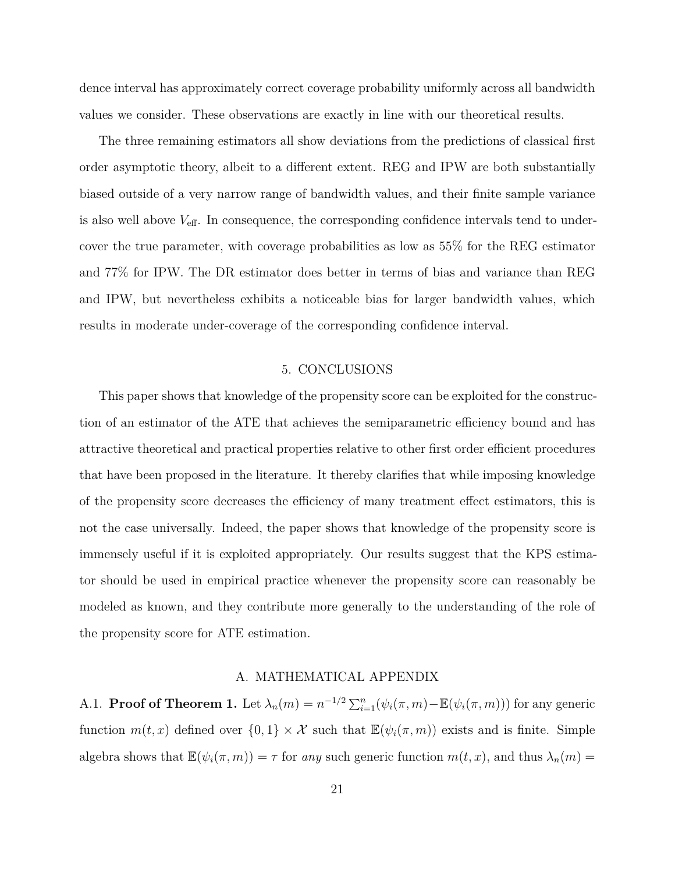dence interval has approximately correct coverage probability uniformly across all bandwidth values we consider. These observations are exactly in line with our theoretical results.

The three remaining estimators all show deviations from the predictions of classical first order asymptotic theory, albeit to a different extent. REG and IPW are both substantially biased outside of a very narrow range of bandwidth values, and their finite sample variance is also well above *V*eff. In consequence, the corresponding confidence intervals tend to undercover the true parameter, with coverage probabilities as low as 55% for the REG estimator and 77% for IPW. The DR estimator does better in terms of bias and variance than REG and IPW, but nevertheless exhibits a noticeable bias for larger bandwidth values, which results in moderate under-coverage of the corresponding confidence interval.

#### 5. CONCLUSIONS

This paper shows that knowledge of the propensity score can be exploited for the construction of an estimator of the ATE that achieves the semiparametric efficiency bound and has attractive theoretical and practical properties relative to other first order efficient procedures that have been proposed in the literature. It thereby clarifies that while imposing knowledge of the propensity score decreases the efficiency of many treatment effect estimators, this is not the case universally. Indeed, the paper shows that knowledge of the propensity score is immensely useful if it is exploited appropriately. Our results suggest that the KPS estimator should be used in empirical practice whenever the propensity score can reasonably be modeled as known, and they contribute more generally to the understanding of the role of the propensity score for ATE estimation.

#### A. MATHEMATICAL APPENDIX

A.1. **Proof of Theorem 1.** Let  $\lambda_n(m) = n^{-1/2} \sum_{i=1}^n (\psi_i(\pi, m) - \mathbb{E}(\psi_i(\pi, m)))$  for any generic function  $m(t, x)$  defined over  $\{0, 1\} \times \mathcal{X}$  such that  $\mathbb{E}(\psi_i(\pi, m))$  exists and is finite. Simple algebra shows that  $\mathbb{E}(\psi_i(\pi, m)) = \tau$  for *any* such generic function  $m(t, x)$ , and thus  $\lambda_n(m) =$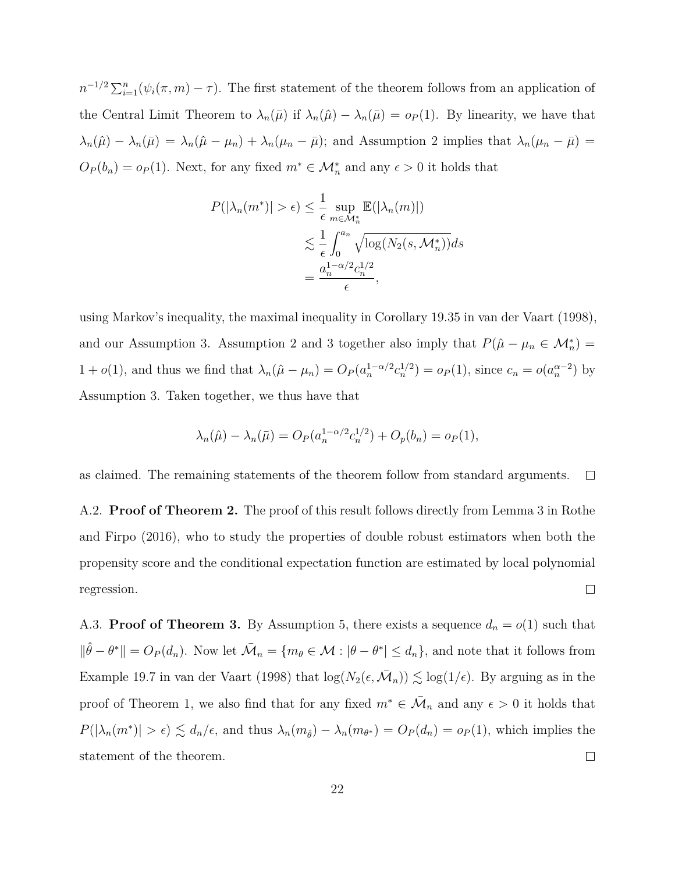$n^{-1/2} \sum_{i=1}^{n} (\psi_i(\pi, m) - \tau)$ . The first statement of the theorem follows from an application of the Central Limit Theorem to  $\lambda_n(\bar{\mu})$  if  $\lambda_n(\hat{\mu}) - \lambda_n(\bar{\mu}) = o_P(1)$ . By linearity, we have that  $\lambda_n(\hat{\mu}) - \lambda_n(\bar{\mu}) = \lambda_n(\hat{\mu} - \mu_n) + \lambda_n(\mu_n - \bar{\mu})$ ; and Assumption 2 implies that  $\lambda_n(\mu_n - \bar{\mu}) =$  $O_P(b_n) = o_P(1)$ . Next, for any fixed  $m^* \in \mathcal{M}_n^*$  and any  $\epsilon > 0$  it holds that

$$
P(|\lambda_n(m^*)| > \epsilon) \leq \frac{1}{\epsilon} \sup_{m \in \mathcal{M}_n^*} \mathbb{E}(|\lambda_n(m)|)
$$
  

$$
\lesssim \frac{1}{\epsilon} \int_0^{a_n} \sqrt{\log(N_2(s, \mathcal{M}_n^*))} ds
$$
  

$$
= \frac{a_n^{1-\alpha/2} c_n^{1/2}}{\epsilon},
$$

using Markov's inequality, the maximal inequality in Corollary 19.35 in van der Vaart (1998), and our Assumption 3. Assumption 2 and 3 together also imply that  $P(\hat{\mu} - \mu_n \in M_n^*) =$  $1 + o(1)$ , and thus we find that  $\lambda_n(\hat{\mu} - \mu_n) = O_P(a_n^{1-\alpha/2}c_n^{1/2}) = o_P(1)$ , since  $c_n = o(a_n^{\alpha-2})$  by Assumption 3. Taken together, we thus have that

$$
\lambda_n(\hat{\mu}) - \lambda_n(\bar{\mu}) = O_P(a_n^{1-\alpha/2} c_n^{1/2}) + O_p(b_n) = o_P(1),
$$

as claimed. The remaining statements of the theorem follow from standard arguments.  $\Box$ 

A.2. **Proof of Theorem 2.** The proof of this result follows directly from Lemma 3 in Rothe and Firpo (2016), who to study the properties of double robust estimators when both the propensity score and the conditional expectation function are estimated by local polynomial  $\Box$ regression.

A.3. **Proof of Theorem 3.** By Assumption 5, there exists a sequence  $d_n = o(1)$  such that  $\|\hat{\theta} - \theta^*\| = O_P(d_n)$ . Now let  $\bar{\mathcal{M}}_n = \{m_\theta \in \mathcal{M} : |\theta - \theta^*| \leq d_n\}$ , and note that it follows from Example 19.7 in van der Vaart (1998) that  $\log(N_2(\epsilon, \bar{M}_n)) \lesssim \log(1/\epsilon)$ . By arguing as in the proof of Theorem 1, we also find that for any fixed  $m^* \in \overline{\mathcal{M}}_n$  and any  $\epsilon > 0$  it holds that  $P(|\lambda_n(m^*)| > \epsilon) \lesssim d_n/\epsilon$ , and thus  $\lambda_n(m_{\hat{\theta}}) - \lambda_n(m_{\theta^*}) = O_P(d_n) = o_P(1)$ , which implies the statement of the theorem.  $\Box$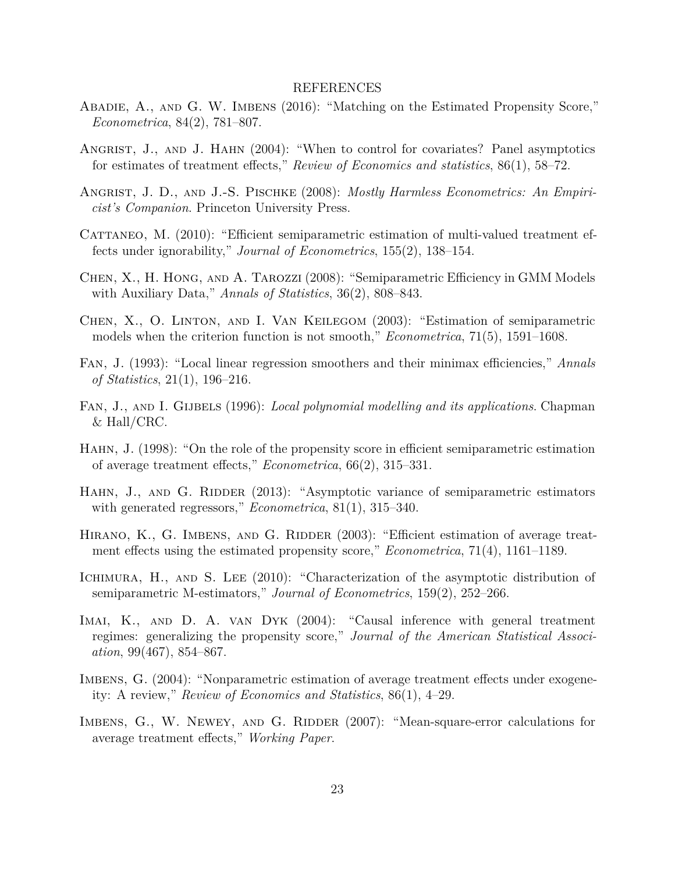#### REFERENCES

- Abadie, A., and G. W. Imbens (2016): "Matching on the Estimated Propensity Score," *Econometrica*, 84(2), 781–807.
- ANGRIST, J., AND J. HAHN (2004): "When to control for covariates? Panel asymptotics for estimates of treatment effects," *Review of Economics and statistics*, 86(1), 58–72.
- Angrist, J. D., and J.-S. Pischke (2008): *Mostly Harmless Econometrics: An Empiricist's Companion*. Princeton University Press.
- CATTANEO, M. (2010): "Efficient semiparametric estimation of multi-valued treatment effects under ignorability," *Journal of Econometrics*, 155(2), 138–154.
- Chen, X., H. Hong, and A. Tarozzi (2008): "Semiparametric Efficiency in GMM Models with Auxiliary Data," *Annals of Statistics*, 36(2), 808–843.
- Chen, X., O. Linton, and I. Van Keilegom (2003): "Estimation of semiparametric models when the criterion function is not smooth," *Econometrica*, 71(5), 1591–1608.
- Fan, J. (1993): "Local linear regression smoothers and their minimax efficiencies," *Annals of Statistics*, 21(1), 196–216.
- Fan, J., and I. Gijbels (1996): *Local polynomial modelling and its applications*. Chapman & Hall/CRC.
- Hahn, J. (1998): "On the role of the propensity score in efficient semiparametric estimation of average treatment effects," *Econometrica*, 66(2), 315–331.
- HAHN, J., AND G. RIDDER (2013): "Asymptotic variance of semiparametric estimators with generated regressors," *Econometrica*, 81(1), 315–340.
- HIRANO, K., G. IMBENS, AND G. RIDDER (2003): "Efficient estimation of average treatment effects using the estimated propensity score," *Econometrica*, 71(4), 1161–1189.
- ICHIMURA, H., AND S. LEE (2010): "Characterization of the asymptotic distribution of semiparametric M-estimators," *Journal of Econometrics*, 159(2), 252–266.
- IMAI, K., AND D. A. VAN DYK (2004): "Causal inference with general treatment regimes: generalizing the propensity score," *Journal of the American Statistical Association*, 99(467), 854–867.
- IMBENS, G. (2004): "Nonparametric estimation of average treatment effects under exogeneity: A review," *Review of Economics and Statistics*, 86(1), 4–29.
- IMBENS, G., W. NEWEY, AND G. RIDDER (2007): "Mean-square-error calculations for average treatment effects," *Working Paper*.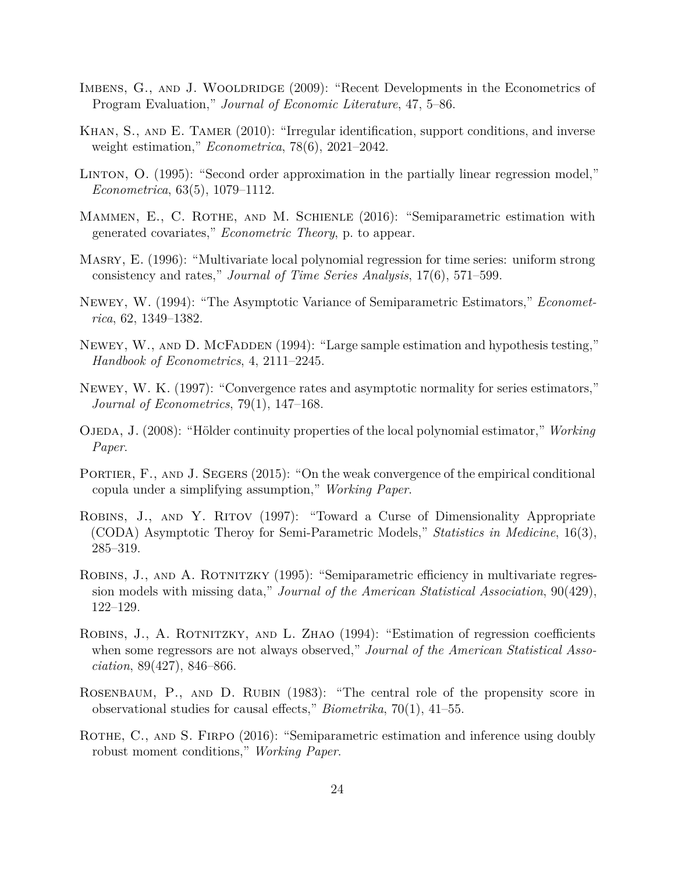- IMBENS, G., AND J. WOOLDRIDGE (2009): "Recent Developments in the Econometrics of Program Evaluation," *Journal of Economic Literature*, 47, 5–86.
- Khan, S., and E. Tamer (2010): "Irregular identification, support conditions, and inverse weight estimation," *Econometrica*, 78(6), 2021–2042.
- Linton, O. (1995): "Second order approximation in the partially linear regression model," *Econometrica*, 63(5), 1079–1112.
- MAMMEN, E., C. ROTHE, AND M. SCHIENLE (2016): "Semiparametric estimation with generated covariates," *Econometric Theory*, p. to appear.
- Masry, E. (1996): "Multivariate local polynomial regression for time series: uniform strong consistency and rates," *Journal of Time Series Analysis*, 17(6), 571–599.
- Newey, W. (1994): "The Asymptotic Variance of Semiparametric Estimators," *Econometrica*, 62, 1349–1382.
- NEWEY, W., AND D. MCFADDEN (1994): "Large sample estimation and hypothesis testing," *Handbook of Econometrics*, 4, 2111–2245.
- Newey, W. K. (1997): "Convergence rates and asymptotic normality for series estimators," *Journal of Econometrics*, 79(1), 147–168.
- OJEDA, J. (2008): "Hölder continuity properties of the local polynomial estimator," *Working Paper*.
- PORTIER, F., AND J. SEGERS (2015): "On the weak convergence of the empirical conditional copula under a simplifying assumption," *Working Paper*.
- ROBINS, J., AND Y. RITOV (1997): "Toward a Curse of Dimensionality Appropriate (CODA) Asymptotic Theroy for Semi-Parametric Models," *Statistics in Medicine*, 16(3), 285–319.
- ROBINS, J., AND A. ROTNITZKY (1995): "Semiparametric efficiency in multivariate regression models with missing data," *Journal of the American Statistical Association*, 90(429), 122–129.
- Robins, J., A. Rotnitzky, and L. Zhao (1994): "Estimation of regression coefficients when some regressors are not always observed," *Journal of the American Statistical Association*, 89(427), 846–866.
- Rosenbaum, P., and D. Rubin (1983): "The central role of the propensity score in observational studies for causal effects," *Biometrika*, 70(1), 41–55.
- ROTHE, C., AND S. FIRPO (2016): "Semiparametric estimation and inference using doubly robust moment conditions," *Working Paper*.